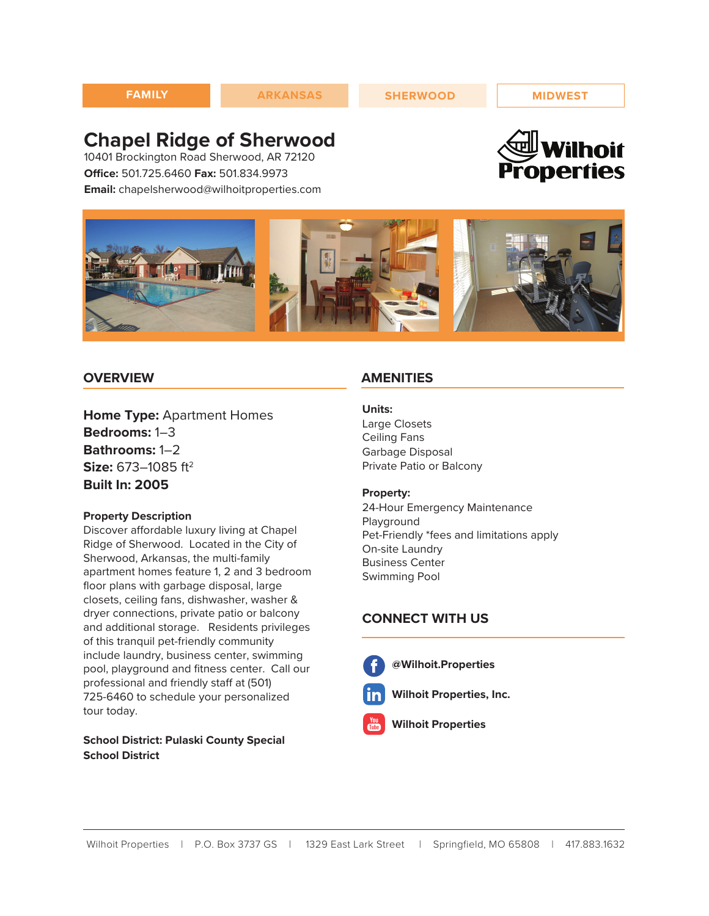# **Chapel Ridge of Sherwood**

10401 Brockington Road Sherwood, AR 72120 **Office:** 501.725.6460 **Fax:** 501.834.9973 **Email:** chapelsherwood@wilhoitproperties.com





### **OVERVIEW**

**Home Type:** Apartment Homes **Bedrooms:** 1–3 **Bathrooms:** 1–2 **Size:** 673–1085 ft<sup>2</sup> **Built In: 2005**

#### **Property Description**

Discover affordable luxury living at Chapel Ridge of Sherwood. Located in the City of Sherwood, Arkansas, the multi-family apartment homes feature 1, 2 and 3 bedroom floor plans with garbage disposal, large closets, ceiling fans, dishwasher, washer & dryer connections, private patio or balcony and additional storage. Residents privileges of this tranquil pet-friendly community include laundry, business center, swimming pool, playground and fitness center. Call our professional and friendly staff at (501) 725-6460 to schedule your personalized tour today.

### **School District: Pulaski County Special School District**

### **AMENITIES**

#### **Units:**

Large Closets Ceiling Fans Garbage Disposal Private Patio or Balcony

#### **Property:**

24-Hour Emergency Maintenance Playground Pet-Friendly \*fees and limitations apply On-site Laundry Business Center Swimming Pool

### **CONNECT WITH US**

**@Wilhoit.Properties**

- 
- **Wilhoit Properties, Inc.**
- **Wilhoit Properties**